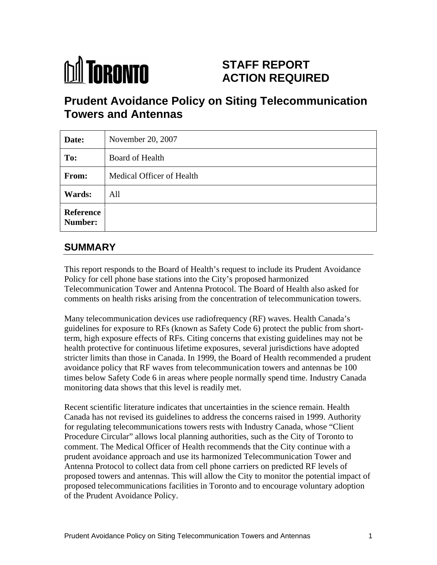

# **STAFF REPORT ACTION REQUIRED**

# **Prudent Avoidance Policy on Siting Telecommunication Towers and Antennas**

| Date:         | November 20, $2007$       |
|---------------|---------------------------|
| To:           | Board of Health           |
| From:         | Medical Officer of Health |
| <b>Wards:</b> | All                       |
| Reference     |                           |

# **SUMMARY**

This report responds to the Board of Health's request to include its Prudent Avoidance Policy for cell phone base stations into the City's proposed harmonized Telecommunication Tower and Antenna Protocol. The Board of Health also asked for comments on health risks arising from the concentration of telecommunication towers.

Many telecommunication devices use radiofrequency (RF) waves. Health Canada's guidelines for exposure to RFs (known as Safety Code 6) protect the public from shortterm, high exposure effects of RFs. Citing concerns that existing guidelines may not be health protective for continuous lifetime exposures, several jurisdictions have adopted stricter limits than those in Canada. In 1999, the Board of Health recommended a prudent avoidance policy that RF waves from telecommunication towers and antennas be 100 times below Safety Code 6 in areas where people normally spend time. Industry Canada monitoring data shows that this level is readily met.<br>Recent scientific literature indicates that uncertainties in the science remain. Health

Canada has not revised its guidelines to address the concerns raised in 1999. Authority for regulating telecommunications towers rests with Industry Canada, whose "Client Procedure Circular" allows local planning authorities, such as the City of Toronto to comment. The Medical Officer of Health recommends that the City continue with a prudent avoidance approach and use its harmonized Telecommunication Tower and Antenna Protocol to collect data from cell phone carriers on predicted RF levels of proposed towers and antennas. This will allow the City to monitor the potential impact of proposed telecommunications facilities in Toronto and to encourage voluntary adoption of the Prudent Avoidance Policy.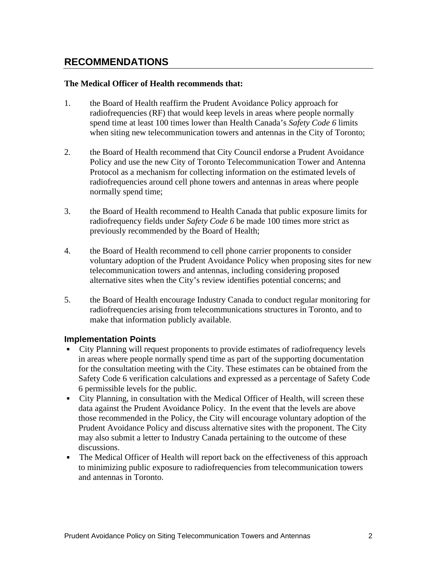### **RECOMMENDATIONS**

#### **The Medical Officer of Health recommends that:**

- 1. the Board of Health reaffirm the Prudent Avoidance Policy approach for radiofrequencies (RF) that would keep levels in areas where people normally spend time at least 100 times lower than Health Canada's *Safety Code 6* limits when siting new telecommunication towers and antennas in the City of Toronto;
- 2. the Board of Health recommend that City Council endorse a Prudent Avoidance Policy and use the new City of Toronto Telecommunication Tower and Antenna Protocol as a mechanism for collecting information on the estimated levels of radiofrequencies around cell phone towers and antennas in areas where people normally spend time;
- 3. the Board of Health recommend to Health Canada that public exposure limits for radiofrequency fields under *Safety Code 6* be made 100 times more strict as previously recommended by the Board of Health;
- 4. the Board of Health recommend to cell phone carrier proponents to consider voluntary adoption of the Prudent Avoidance Policy when proposing sites for new telecommunication towers and antennas, including considering proposed alternative sites when the City's review identifies potential concerns; and
- 5. the Board of Health encourage Industry Canada to conduct regular monitoring for radiofrequencies arising from telecommunications structures in Toronto, and to make that information publicly available.

#### **Implementation Points**

- City Planning will request proponents to provide estimates of radiofrequency levels in areas where people normally spend time as part of the supporting documentation for the consultation meeting with the City. These estimates can be obtained from the Safety Code 6 verification calculations and expressed as a percentage of Safety Code 6 permissible levels for the public.
- City Planning, in consultation with the Medical Officer of Health, will screen these data against the Prudent Avoidance Policy. In the event that the levels are above those recommended in the Policy, the City will encourage voluntary adoption of the Prudent Avoidance Policy and discuss alternative sites with the proponent. The City may also submit a letter to Industry Canada pertaining to the outcome of these discussions.
- The Medical Officer of Health will report back on the effectiveness of this approach to minimizing public exposure to radiofrequencies from telecommunication towers and antennas in Toronto.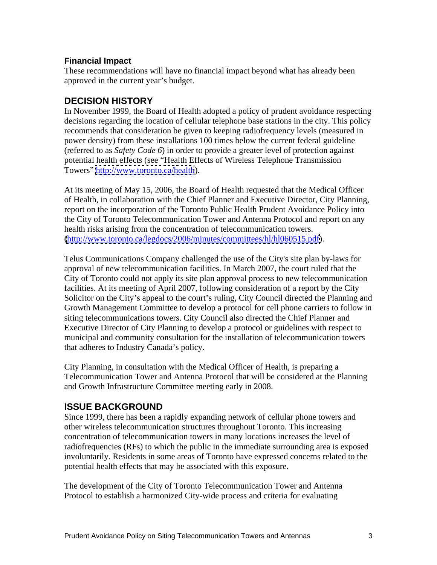#### **Financial Impact**

These recommendations will have no financial impact beyond what has already been approved in the current year's budget.

### **DECISION HISTORY**

In November 1999, the Board of Health adopted a policy of prudent avoidance respecting decisions regarding the location of cellular telephone base stations in the city. This policy recommends that consideration be given to keeping radiofrequency levels (measured in power density) from these installations 100 times below the current federal guideline (referred to as *Safety Code 6*) in order to provide a greater level of protection against potential health effects (see "Health Effects of Wireless Telephone Transmission Towers" <http://www.toronto.ca/health>).

At its meeting of May 15, 2006, the Board of Health requested that the Medical Officer of Health, in collaboration with the Chief Planner and Executive Director, City Planning, report on the incorporation of the Toronto Public Health Prudent Avoidance Policy into the City of Toronto Telecommunication Tower and Antenna Protocol and report on any health risks arising from the concentration of telecommunication towers. [\(http://www.toronto.ca/legdocs/2006/minutes/committees/hl/hl060515.pdf\)](http://www.toronto.ca/legdocs/2006/minutes/committees/hl/hl060515.pdf).<br>Telus Communications Company challenged the use of the City's site plan by-laws for

approval of new telecommunication facilities. In March 2007, the court ruled that the City of Toronto could not apply its site plan approval process to new telecommunication facilities. At its meeting of April 2007, following consideration of a report by the City Solicitor on the City's appeal to the court's ruling, City Council directed the Planning and Growth Management Committee to develop a protocol for cell phone carriers to follow in siting telecommunications towers. City Council also directed the Chief Planner and Executive Director of City Planning to develop a protocol or guidelines with respect to municipal and community consultation for the installation of telecommunication towers that adheres to Industry Canada's policy.

City Planning, in consultation with the Medical Officer of Health, is preparing a Telecommunication Tower and Antenna Protocol that will be considered at the Planning and Growth Infrastructure Committee meeting early in 2008.

### **ISSUE BACKGROUND**

Since 1999, there has been a rapidly expanding network of cellular phone towers and other wireless telecommunication structures throughout Toronto. This increasing concentration of telecommunication towers in many locations increases the level of radiofrequencies (RFs) to which the public in the immediate surrounding area is exposed involuntarily. Residents in some areas of Toronto have expressed concerns related to the potential health effects that may be associated with this exposure. The development of the City of Toronto Telecommunication Tower and Antenna

Protocol to establish a harmonized City-wide process and criteria for evaluating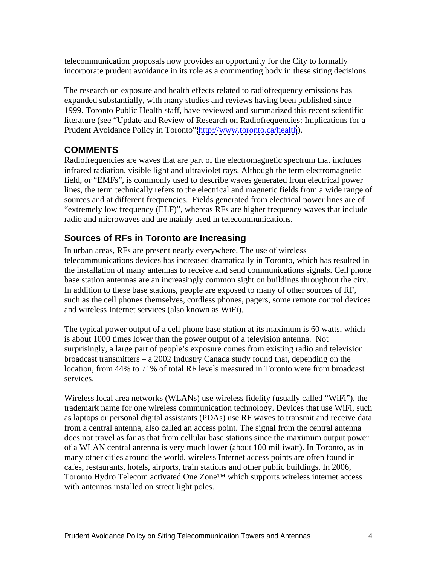telecommunication proposals now provides an opportunity for the City to formally incorporate prudent avoidance in its role as a commenting body in these siting decisions.

The research on exposure and health effects related to radiofrequency emissions has expanded substantially, with many studies and reviews having been published since 1999. Toronto Public Health staff, have reviewed and summarized this recent scientific literature (see "Update and Review of Research on Radiofrequencies: Implications for a Prudent Avoidance Policy in Toronto"<http://www.toronto.ca/health>).

## **COMMENTS**

Radiofrequencies are waves that are part of the electromagnetic spectrum that includes infrared radiation, visible light and ultraviolet rays. Although the term electromagnetic field, or "EMFs", is commonly used to describe waves generated from electrical power lines, the term technically refers to the electrical and magnetic fields from a wide range of sources and at different frequencies. Fields generated from electrical power lines are of "extremely low frequency (ELF)", whereas RFs are higher frequency waves that include radio and microwaves and are mainly used in telecommunications.

## **Sources of RFs in Toronto are Increasing**

In urban areas, RFs are present nearly everywhere. The use of wireless telecommunications devices has increased dramatically in Toronto, which has resulted in the installation of many antennas to receive and send communications signals. Cell phone base station antennas are an increasingly common sight on buildings throughout the city. In addition to these base stations, people are exposed to many of other sources of RF, such as the cell phones themselves, cordless phones, pagers, some remote control devices

and wireless Internet services (also known as WiFi).<br>The typical power output of a cell phone base station at its maximum is 60 watts, which is about 1000 times lower than the power output of a television antenna. Not surprisingly, a large part of people's exposure comes from existing radio and television broadcast transmitters – a 2002 Industry Canada study found that, depending on the location, from 44% to 71% of total RF levels measured in Toronto were from broadcast services.

Wireless local area networks (WLANs) use wireless fidelity (usually called "WiFi"), the trademark name for one wireless communication technology. Devices that use WiFi, such as laptops or personal digital assistants (PDAs) use RF waves to transmit and receive data from a central antenna, also called an access point. The signal from the central antenna does not travel as far as that from cellular base stations since the maximum output power of a WLAN central antenna is very much lower (about 100 milliwatt). In Toronto, as in many other cities around the world, wireless Internet access points are often found in cafes, restaurants, hotels, airports, train stations and other public buildings. In 2006, Toronto Hydro Telecom activated One Zone™ which supports wireless internet access with antennas installed on street light poles.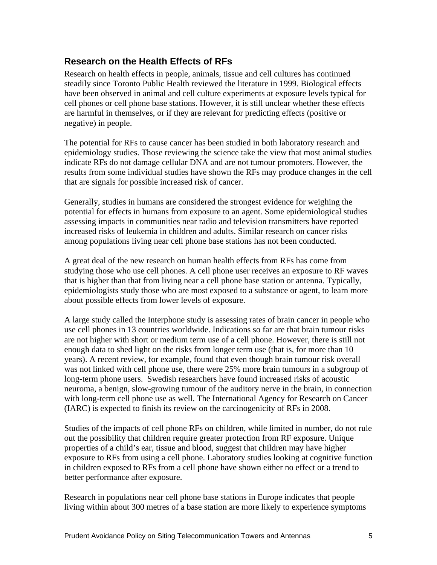### **Research on the Health Effects of RFs**

Research on health effects in people, animals, tissue and cell cultures has continued steadily since Toronto Public Health reviewed the literature in 1999. Biological effects have been observed in animal and cell culture experiments at exposure levels typical for cell phones or cell phone base stations. However, it is still unclear whether these effects are harmful in themselves, or if they are relevant for predicting effects (positive or negative) in people.

The potential for RFs to cause cancer has been studied in both laboratory research and epidemiology studies. Those reviewing the science take the view that most animal studies indicate RFs do not damage cellular DNA and are not tumour promoters. However, the results from some individual studies have shown the RFs may produce changes in the cell that are signals for possible increased risk of cancer.

Generally, studies in humans are considered the strongest evidence for weighing the potential for effects in humans from exposure to an agent. Some epidemiological studies assessing impacts in communities near radio and television transmitters have reported increased risks of leukemia in children and adults. Similar research on cancer risks among populations living near cell phone base stations has not been conducted.

A great deal of the new research on human health effects from RFs has come from studying those who use cell phones. A cell phone user receives an exposure to RF waves that is higher than that from living near a cell phone base station or antenna. Typically, epidemiologists study those who are most exposed to a substance or agent, to learn more about possible effects from lower levels of exposure. A large study called the Interphone study is assessing rates of brain cancer in people who

use cell phones in 13 countries worldwide. Indications so far are that brain tumour risks are not higher with short or medium term use of a cell phone. However, there is still not enough data to shed light on the risks from longer term use (that is, for more than 10 years). A recent review, for example, found that even though brain tumour risk overall was not linked with cell phone use, there were 25% more brain tumours in a subgroup of long-term phone users. Swedish researchers have found increased risks of acoustic neuroma, a benign, slow-growing tumour of the auditory nerve in the brain, in connection with long-term cell phone use as well. The International Agency for Research on Cancer (IARC) is expected to finish its review on the carcinogenicity of RFs in 2008.

Studies of the impacts of cell phone RFs on children, while limited in number, do not rule out the possibility that children require greater protection from RF exposure. Unique properties of a child's ear, tissue and blood, suggest that children may have higher exposure to RFs from using a cell phone. Laboratory studies looking at cognitive function in children exposed to RFs from a cell phone have shown either no effect or a trend to better performance after exposure.

Research in populations near cell phone base stations in Europe indicates that people living within about 300 metres of a base station are more likely to experience symptoms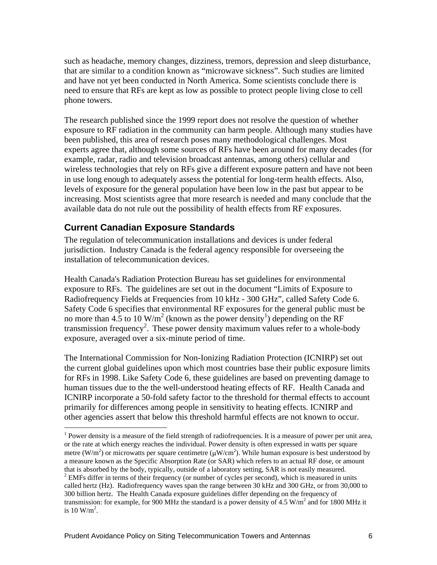such as headache, memory changes, dizziness, tremors, depression and sleep disturbance, that are similar to a condition known as "microwave sickness". Such studies are limited and have not yet been conducted in North America. Some scientists conclude there is need to ensure that RFs are kept as low as possible to protect people living close to cell phone towers.

The research published since the 1999 report does not resolve the question of whether exposure to RF radiation in the community can harm people. Although many studies have been published, this area of research poses many methodological challenges. Most experts agree that, although some sources of RFs have been around for many decades (for example, radar, radio and television broadcast antennas, among others) cellular and wireless technologies that rely on RFs give a different exposure pattern and have not been in use long enough to adequately assess the potential for long-term health effects. Also, levels of exposure for the general population have been low in the past but appear to be increasing. Most scientists agree that more research is needed and many conclude that the available data do not rule out the possibility of health effects from RF exposures.

### **Current Canadian Exposure Standards**

The regulation of telecommunication installations and devices is under federal jurisdiction. Industry Canada is the federal agency responsible for overseeing the installation of telecommunication devices.

Health Canada's Radiation Protection Bureau has set guidelines for environmental exposure to RFs. The guidelines are set out in the document "Limits of Exposure to Radiofrequency Fields at Frequencies from 10 kHz - 300 GHz", called Safety Code 6. Safety Code 6 specifies that environmental RF exposures for the general public must be no more than 4.5 to 10 W/m<sup>2</sup> (known as the power density<sup>1</sup>) depending on the RF transmission frequency<sup>2</sup>. These power density maximum values refer to a whole-body exposure, averaged over a six-minute period of time.

The International Commission for Non-Ionizing Radiation Protection (ICNIRP) set out the current global guidelines upon which most countries base their public exposure limits for RFs in 1998. Like Safety Code 6, these guidelines are based on preventing damage to human tissues due to the the well-understood heating effects of RF. Health Canada and ICNIRP incorporate a 50-fold safety factor to the threshold for thermal effects to account primarily for differences among people in sensitivity to heating effects. ICNIRP and other agencies assert that below this threshold harmful effects are not known to occur.

<sup>&</sup>lt;sup>1</sup> Power density is a measure of the field strength of radiofrequencies. It is a measure of power per unit area, or the rate at which energy reaches the individual. Power density is often expressed in watts per square metre (W/m<sup>2</sup>) or microwatts per square centimetre ( $\mu$ W/cm<sup>2</sup>). While human exposure is best understood by a measure known as the Specific Absorption Rate (or SAR) which refers to an actual RF dose, or amount that is absorbed by the body, typically, outside of a laboratory setting, SAR is not easily measured. 2

 $2$  EMFs differ in terms of their frequency (or number of cycles per second), which is measured in units called hertz (Hz). Radiofrequency waves span the range between 30 kHz and 300 GHz, or from 30,000 to 300 billion hertz. The Health Canada exposure guidelines differ depending on the frequency of transmission: for example, for 900 MHz the standard is a power density of 4.5  $W/m<sup>2</sup>$  and for 1800 MHz it is  $10 \text{ W/m}^2$ . is 10  $W/m^2$ .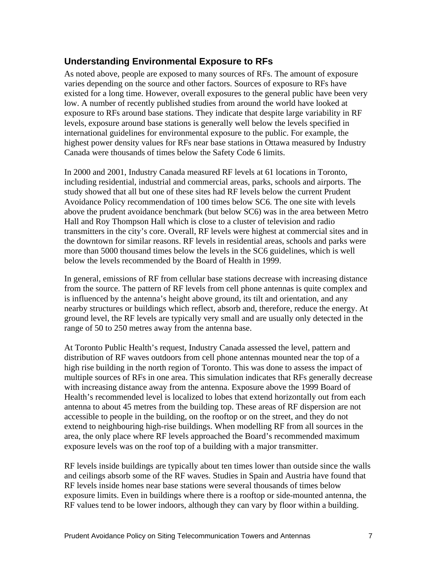### **Understanding Environmental Exposure to RFs**

As noted above, people are exposed to many sources of RFs. The amount of exposure varies depending on the source and other factors. Sources of exposure to RFs have existed for a long time. However, overall exposures to the general public have been very low. A number of recently published studies from around the world have looked at exposure to RFs around base stations. They indicate that despite large variability in RF levels, exposure around base stations is generally well below the levels specified in international guidelines for environmental exposure to the public. For example, the highest power density values for RFs near base stations in Ottawa measured by Industry Canada were thousands of times below the Safety Code 6 limits.

In 2000 and 2001, Industry Canada measured RF levels at 61 locations in Toronto, including residential, industrial and commercial areas, parks, schools and airports. The study showed that all but one of these sites had RF levels below the current Prudent Avoidance Policy recommendation of 100 times below SC6. The one site with levels above the prudent avoidance benchmark (but below SC6) was in the area between Metro Hall and Roy Thompson Hall which is close to a cluster of television and radio transmitters in the city's core. Overall, RF levels were highest at commercial sites and in the downtown for similar reasons. RF levels in residential areas, schools and parks were more than 5000 thousand times below the levels in the SC6 guidelines, which is well below the levels recommended by the Board of Health in 1999.

In general, emissions of RF from cellular base stations decrease with increasing distance from the source. The pattern of RF levels from cell phone antennas is quite complex and is influenced by the antenna's height above ground, its tilt and orientation, and any nearby structures or buildings which reflect, absorb and, therefore, reduce the energy. At ground level, the RF levels are typically very small and are usually only detected in the range of 50 to 250 metres away from the antenna base. At Toronto Public Health's request, Industry Canada assessed the level, pattern and

distribution of RF waves outdoors from cell phone antennas mounted near the top of a high rise building in the north region of Toronto. This was done to assess the impact of multiple sources of RFs in one area. This simulation indicates that RFs generally decrease with increasing distance away from the antenna. Exposure above the 1999 Board of Health's recommended level is localized to lobes that extend horizontally out from each antenna to about 45 metres from the building top. These areas of RF dispersion are not accessible to people in the building, on the rooftop or on the street, and they do not extend to neighbouring high-rise buildings. When modelling RF from all sources in the area, the only place where RF levels approached the Board's recommended maximum exposure levels was on the roof top of a building with a major transmitter.

RF levels inside buildings are typically about ten times lower than outside since the walls and ceilings absorb some of the RF waves. Studies in Spain and Austria have found that RF levels inside homes near base stations were several thousands of times below exposure limits. Even in buildings where there is a rooftop or side-mounted antenna, the RF values tend to be lower indoors, although they can vary by floor within a building.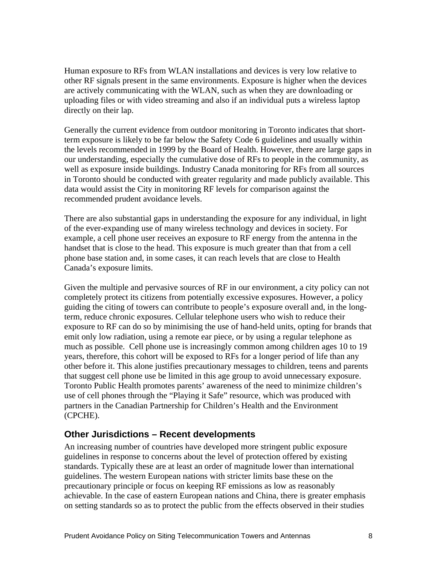Human exposure to RFs from WLAN installations and devices is very low relative to other RF signals present in the same environments. Exposure is higher when the devices are actively communicating with the WLAN, such as when they are downloading or uploading files or with video streaming and also if an individual puts a wireless laptop directly on their lap.

Generally the current evidence from outdoor monitoring in Toronto indicates that shortterm exposure is likely to be far below the Safety Code 6 guidelines and usually within the levels recommended in 1999 by the Board of Health. However, there are large gaps in our understanding, especially the cumulative dose of RFs to people in the community, as well as exposure inside buildings. Industry Canada monitoring for RFs from all sources in Toronto should be conducted with greater regularity and made publicly available. This data would assist the City in monitoring RF levels for comparison against the recommended prudent avoidance levels.

There are also substantial gaps in understanding the exposure for any individual, in light of the ever-expanding use of many wireless technology and devices in society. For example, a cell phone user receives an exposure to RF energy from the antenna in the handset that is close to the head. This exposure is much greater than that from a cell phone base station and, in some cases, it can reach levels that are close to Health Canada's exposure limits.

Given the multiple and pervasive sources of RF in our environment, a city policy can not completely protect its citizens from potentially excessive exposures. However, a policy guiding the citing of towers can contribute to people's exposure overall and, in the longterm, reduce chronic exposures. Cellular telephone users who wish to reduce their exposure to RF can do so by minimising the use of hand-held units, opting for brands that emit only low radiation, using a remote ear piece, or by using a regular telephone as much as possible. Cell phone use is increasingly common among children ages 10 to 19 years, therefore, this cohort will be exposed to RFs for a longer period of life than any other before it. This alone justifies precautionary messages to children, teens and parents that suggest cell phone use be limited in this age group to avoid unnecessary exposure. Toronto Public Health promotes parents' awareness of the need to minimize children's use of cell phones through the "Playing it Safe" resource, which was produced with partners in the Canadian Partnership for Children's Health and the Environment (CPCHE).

### **Other Jurisdictions – Recent developments**

An increasing number of countries have developed more stringent public exposure guidelines in response to concerns about the level of protection offered by existing standards. Typically these are at least an order of magnitude lower than international guidelines. The western European nations with stricter limits base these on the precautionary principle or focus on keeping RF emissions as low as reasonably achievable. In the case of eastern European nations and China, there is greater emphasis on setting standards so as to protect the public from the effects observed in their studies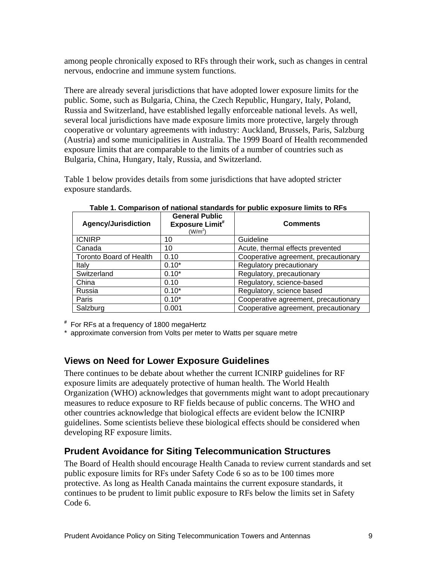among people chronically exposed to RFs through their work, such as changes in central nervous, endocrine and immune system functions.

There are already several jurisdictions that have adopted lower exposure limits for the public. Some, such as Bulgaria, China, the Czech Republic, Hungary, Italy, Poland, Russia and Switzerland, have established legally enforceable national levels. As well, several local jurisdictions have made exposure limits more protective, largely through cooperative or voluntary agreements with industry: Auckland, Brussels, Paris, Salzburg (Austria) and some municipalities in Australia. The 1999 Board of Health recommended exposure limits that are comparable to the limits of a number of countries such as

Bulgaria, China, Hungary, Italy, Russia, and Switzerland. Table 1 below provides details from some jurisdictions that have adopted stricter exposure standards.

|                            | <b>General Public</b>         |                                      |
|----------------------------|-------------------------------|--------------------------------------|
| <b>Agency/Jurisdiction</b> | <b>Exposure Limit#</b><br>W/m | <b>Comments</b>                      |
| <b>ICNIRP</b>              |                               | Guideline                            |
| Canada                     |                               | Acute, thermal effects prevented     |
| Toronto Board of Health    | $\vert$ 0.10                  | Cooperative agreement, precautionary |
| <u>ltaly</u>               | $0.10*$                       | <b>Regulatory precautionary</b>      |
| Switzerland                | $0.10*$                       | Regulatory, precautionary            |
| China                      | 0.10                          | Regulatory, science-based            |
| Russia                     | $0.10^{4}$                    | Regulatory, science based            |
| Paris                      | $0.10^{4}$                    | Cooperative agreement, precautionary |
| Salzburg                   | 0.00                          | Cooperative agreement, precautionary |

**Table 1. Comparison of national standards for public exposure limits to RFs**

**#** For RFs at a frequency of 1800 megaHertz<br>\* approximate conversion from Volts per meter to Watts per square metre

### **Views on Need for Lower Exposure Guidelines**

There continues to be debate about whether the current ICNIRP guidelines for RF exposure limits are adequately protective of human health. The World Health Organization (WHO) acknowledges that governments might want to adopt precautionary measures to reduce exposure to RF fields because of public concerns. The WHO and other countries acknowledge that biological effects are evident below the ICNIRP guidelines. Some scientists believe these biological effects should be considered when developing RF exposure limits.

### **Prudent Avoidance for Siting Telecommunication Structures**

The Board of Health should encourage Health Canada to review current standards and set public exposure limits for RFs under Safety Code 6 so as to be 100 times more protective. As long as Health Canada maintains the current exposure standards, it continues to be prudent to limit public exposure to RFs below the limits set in Safety Code 6.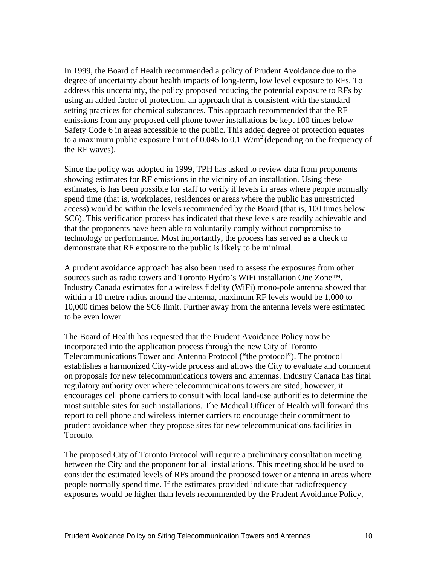In 1999, the Board of Health recommended a policy of Prudent Avoidance due to the degree of uncertainty about health impacts of long-term, low level exposure to RFs. To address this uncertainty, the policy proposed reducing the potential exposure to RFs by using an added factor of protection, an approach that is consistent with the standard setting practices for chemical substances. This approach recommended that the RF emissions from any proposed cell phone tower installations be kept 100 times below Safety Code 6 in areas accessible to the public. This added degree of protection equates to a maximum public exposure limit of  $0.045$  to 0.1 W/m<sup>2</sup> (depending on the frequency of the RF waves). Since the policy was adopted in 1999, TPH has asked to review data from proponents

showing estimates for RF emissions in the vicinity of an installation*.* Using these estimates, is has been possible for staff to verify if levels in areas where people normally spend time (that is, workplaces, residences or areas where the public has unrestricted access) would be within the levels recommended by the Board (that is, 100 times below SC6). This verification process has indicated that these levels are readily achievable and that the proponents have been able to voluntarily comply without compromise to technology or performance. Most importantly, the process has served as a check to demonstrate that RF exposure to the public is likely to be minimal.

A prudent avoidance approach has also been used to assess the exposures from other sources such as radio towers and Toronto Hydro's WiFi installation One Zone™. Industry Canada estimates for a wireless fidelity (WiFi) mono-pole antenna showed that within a 10 metre radius around the antenna, maximum RF levels would be 1,000 to 10,000 times below the SC6 limit. Further away from the antenna levels were estimated to be even lower.

The Board of Health has requested that the Prudent Avoidance Policy now be incorporated into the application process through the new City of Toronto Telecommunications Tower and Antenna Protocol ("the protocol"). The protocol establishes a harmonized City-wide process and allows the City to evaluate and comment on proposals for new telecommunications towers and antennas. Industry Canada has final regulatory authority over where telecommunications towers are sited; however, it encourages cell phone carriers to consult with local land-use authorities to determine the most suitable sites for such installations. The Medical Officer of Health will forward this report to cell phone and wireless internet carriers to encourage their commitment to prudent avoidance when they propose sites for new telecommunications facilities in Toronto.

The proposed City of Toronto Protocol will require a preliminary consultation meeting between the City and the proponent for all installations. This meeting should be used to consider the estimated levels of RFs around the proposed tower or antenna in areas where people normally spend time. If the estimates provided indicate that radiofrequency exposures would be higher than levels recommended by the Prudent Avoidance Policy,